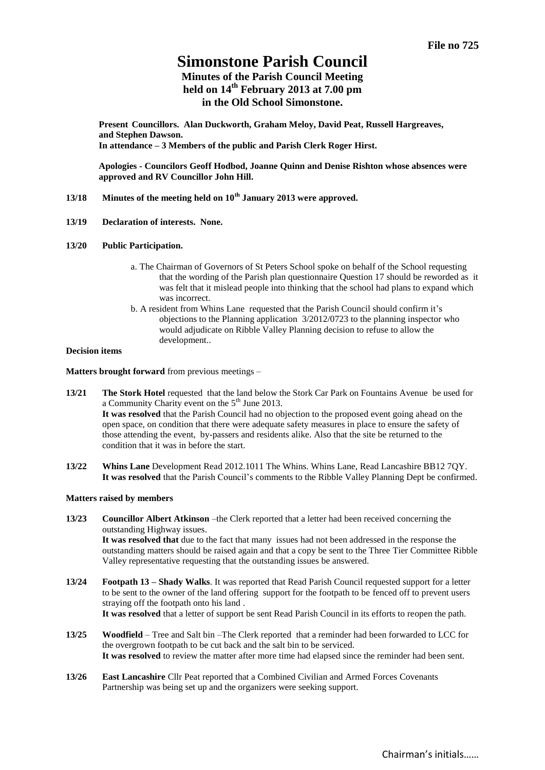# **Simonstone Parish Council**

**Minutes of the Parish Council Meeting held on 14th February 2013 at 7.00 pm in the Old School Simonstone.**

**Present Councillors. Alan Duckworth, Graham Meloy, David Peat, Russell Hargreaves, and Stephen Dawson. In attendance – 3 Members of the public and Parish Clerk Roger Hirst.** 

**Apologies - Councilors Geoff Hodbod, Joanne Quinn and Denise Rishton whose absences were approved and RV Councillor John Hill.**

- **13/18 Minutes of the meeting held on 10th January 2013 were approved.**
- **13/19 Declaration of interests. None.**
- **13/20 Public Participation.** 
	- a. The Chairman of Governors of St Peters School spoke on behalf of the School requesting that the wording of the Parish plan questionnaire Question 17 should be reworded as it was felt that it mislead people into thinking that the school had plans to expand which was incorrect.
	- b. A resident from Whins Lane requested that the Parish Council should confirm it's objections to the Planning application 3/2012/0723 to the planning inspector who would adjudicate on Ribble Valley Planning decision to refuse to allow the development..

#### **Decision items**

**Matters brought forward** from previous meetings –

- **13/21 The Stork Hotel** requested that the land below the Stork Car Park on Fountains Avenue be used for a Community Charity event on the  $5<sup>th</sup>$  June 2013. **It was resolved** that the Parish Council had no objection to the proposed event going ahead on the open space, on condition that there were adequate safety measures in place to ensure the safety of those attending the event, by-passers and residents alike. Also that the site be returned to the condition that it was in before the start.
- **13/22 Whins Lane** Development Read 2012.1011 The Whins. Whins Lane, Read Lancashire BB12 7QY. **It was resolved** that the Parish Council's comments to the Ribble Valley Planning Dept be confirmed.

## **Matters raised by members**

- **13/23 Councillor Albert Atkinson** –the Clerk reported that a letter had been received concerning the outstanding Highway issues. **It was resolved that** due to the fact that many issues had not been addressed in the response the outstanding matters should be raised again and that a copy be sent to the Three Tier Committee Ribble Valley representative requesting that the outstanding issues be answered.
- **13/24 Footpath 13 – Shady Walks**. It was reported that Read Parish Council requested support for a letter to be sent to the owner of the land offering support for the footpath to be fenced off to prevent users straying off the footpath onto his land . **It was resolved** that a letter of support be sent Read Parish Council in its efforts to reopen the path.
- **13/25 Woodfield** Tree and Salt bin –The Clerk reported that a reminder had been forwarded to LCC for the overgrown footpath to be cut back and the salt bin to be serviced. It was resolved to review the matter after more time had elapsed since the reminder had been sent.
- **13/26 East Lancashire** Cllr Peat reported that a Combined Civilian and Armed Forces Covenants Partnership was being set up and the organizers were seeking support.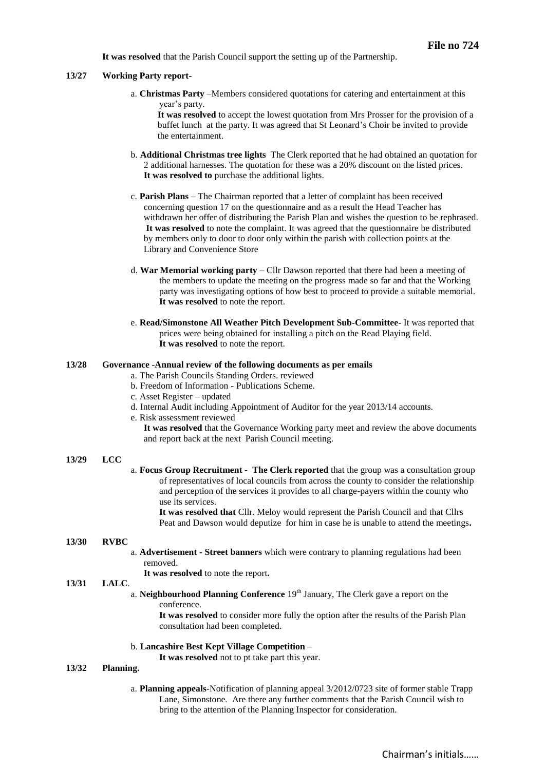**It was resolved** that the Parish Council support the setting up of the Partnership.

#### **13/27 Working Party report-**

a. **Christmas Party** –Members considered quotations for catering and entertainment at this year's party.

**It was resolved** to accept the lowest quotation from Mrs Prosser for the provision of a buffet lunch at the party. It was agreed that St Leonard's Choir be invited to provide the entertainment.

- b. **Additional Christmas tree lights** The Clerk reported that he had obtained an quotation for 2 additional harnesses. The quotation for these was a 20% discount on the listed prices. **It was resolved to** purchase the additional lights.
- c. **Parish Plans** The Chairman reported that a letter of complaint has been received concerning question 17 on the questionnaire and as a result the Head Teacher has withdrawn her offer of distributing the Parish Plan and wishes the question to be rephrased. **It was resolved** to note the complaint. It was agreed that the questionnaire be distributed by members only to door to door only within the parish with collection points at the Library and Convenience Store
- d. **War Memorial working party**  Cllr Dawson reported that there had been a meeting of the members to update the meeting on the progress made so far and that the Working party was investigating options of how best to proceed to provide a suitable memorial. **It was resolved** to note the report.
- e. **Read/Simonstone All Weather Pitch Development Sub-Committee-** It was reported that prices were being obtained for installing a pitch on the Read Playing field. **It was resolved** to note the report.

#### **13/28 Governance** -**Annual review of the following documents as per emails**

- a. The Parish Councils Standing Orders. reviewed
- b. Freedom of Information Publications Scheme.
- c. Asset Register updated
- d. Internal Audit including Appointment of Auditor for the year 2013/14 accounts.
- e. Risk assessment reviewed

**It was resolved** that the Governance Working party meet and review the above documents and report back at the next Parish Council meeting.

#### **13/29 LCC**

a. **Focus Group Recruitment - The Clerk reported** that the group was a consultation group of representatives of local councils from across the county to consider the relationship and perception of the services it provides to all charge-payers within the county who use its services.

**It was resolved that** Cllr. Meloy would represent the Parish Council and that Cllrs Peat and Dawson would deputize for him in case he is unable to attend the meetings**.** 

## **13/30 RVBC**

a. **Advertisement - Street banners** which were contrary to planning regulations had been removed.

**It was resolved** to note the report**.**

#### **13/31 LALC**.

## a. **Neighbourhood Planning Conference** 19<sup>th</sup> January, The Clerk gave a report on the conference.

**It was resolved** to consider more fully the option after the results of the Parish Plan consultation had been completed.

#### b. **Lancashire Best Kept Village Competition** –

**It was resolved** not to pt take part this year.

## **13/32 Planning.**

a. **Planning appeals**-Notification of planning appeal 3/2012/0723 site of former stable Trapp Lane, Simonstone. Are there any further comments that the Parish Council wish to bring to the attention of the Planning Inspector for consideration.